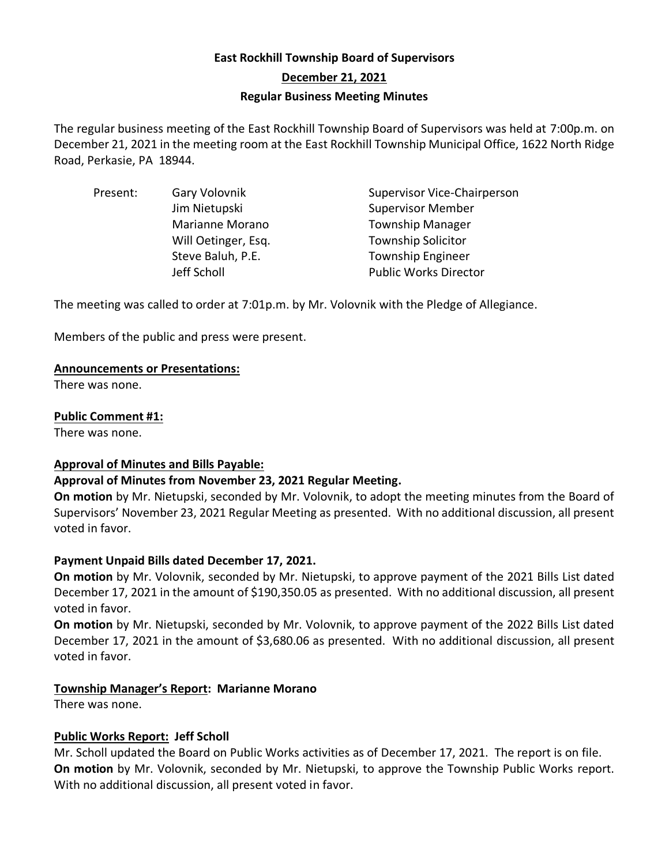# **East Rockhill Township Board of Supervisors December 21, 2021 Regular Business Meeting Minutes**

The regular business meeting of the East Rockhill Township Board of Supervisors was held at 7:00p.m. on December 21, 2021 in the meeting room at the East Rockhill Township Municipal Office, 1622 North Ridge Road, Perkasie, PA 18944.

| Present: | Gary Volovnik       | <b>Supervisor Vice-Chairperson</b> |
|----------|---------------------|------------------------------------|
|          | Jim Nietupski       | <b>Supervisor Member</b>           |
|          | Marianne Morano     | <b>Township Manager</b>            |
|          | Will Oetinger, Esq. | <b>Township Solicitor</b>          |
|          | Steve Baluh, P.E.   | <b>Township Engineer</b>           |
|          | Jeff Scholl         | <b>Public Works Director</b>       |

The meeting was called to order at 7:01p.m. by Mr. Volovnik with the Pledge of Allegiance.

Members of the public and press were present.

#### **Announcements or Presentations:**

There was none.

#### **Public Comment #1:**

There was none.

#### **Approval of Minutes and Bills Payable:**

#### **Approval of Minutes from November 23, 2021 Regular Meeting.**

**On motion** by Mr. Nietupski, seconded by Mr. Volovnik, to adopt the meeting minutes from the Board of Supervisors' November 23, 2021 Regular Meeting as presented. With no additional discussion, all present voted in favor.

#### **Payment Unpaid Bills dated December 17, 2021.**

**On motion** by Mr. Volovnik, seconded by Mr. Nietupski, to approve payment of the 2021 Bills List dated December 17, 2021 in the amount of \$190,350.05 as presented. With no additional discussion, all present voted in favor.

**On motion** by Mr. Nietupski, seconded by Mr. Volovnik, to approve payment of the 2022 Bills List dated December 17, 2021 in the amount of \$3,680.06 as presented. With no additional discussion, all present voted in favor.

#### **Township Manager's Report: Marianne Morano**

There was none.

#### **Public Works Report: Jeff Scholl**

Mr. Scholl updated the Board on Public Works activities as of December 17, 2021. The report is on file. **On motion** by Mr. Volovnik, seconded by Mr. Nietupski, to approve the Township Public Works report. With no additional discussion, all present voted in favor.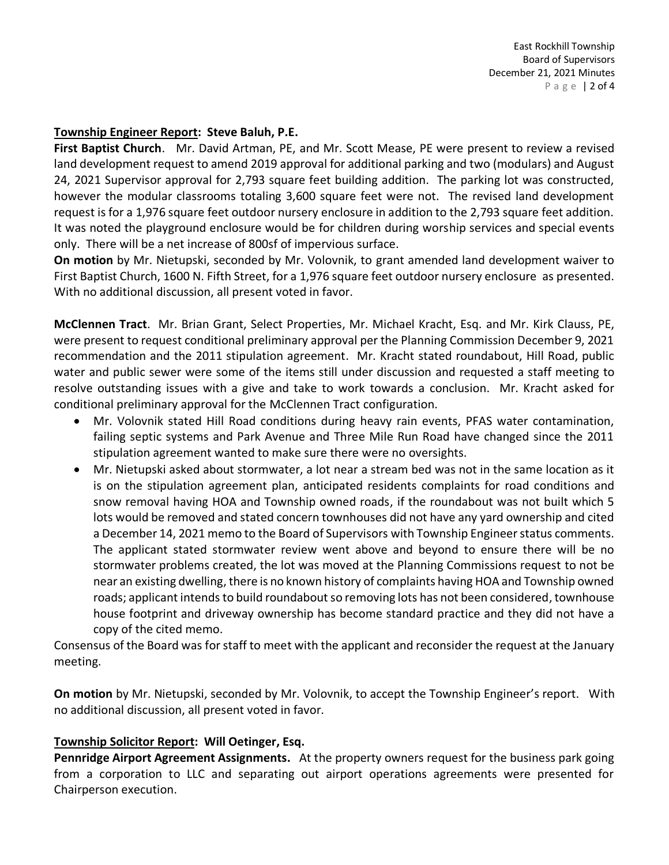#### **Township Engineer Report: Steve Baluh, P.E.**

**First Baptist Church**. Mr. David Artman, PE, and Mr. Scott Mease, PE were present to review a revised land development request to amend 2019 approval for additional parking and two (modulars) and August 24, 2021 Supervisor approval for 2,793 square feet building addition. The parking lot was constructed, however the modular classrooms totaling 3,600 square feet were not. The revised land development request is for a 1,976 square feet outdoor nursery enclosure in addition to the 2,793 square feet addition. It was noted the playground enclosure would be for children during worship services and special events only. There will be a net increase of 800sf of impervious surface.

**On motion** by Mr. Nietupski, seconded by Mr. Volovnik, to grant amended land development waiver to First Baptist Church, 1600 N. Fifth Street, for a 1,976 square feet outdoor nursery enclosure as presented. With no additional discussion, all present voted in favor.

**McClennen Tract**. Mr. Brian Grant, Select Properties, Mr. Michael Kracht, Esq. and Mr. Kirk Clauss, PE, were present to request conditional preliminary approval per the Planning Commission December 9, 2021 recommendation and the 2011 stipulation agreement. Mr. Kracht stated roundabout, Hill Road, public water and public sewer were some of the items still under discussion and requested a staff meeting to resolve outstanding issues with a give and take to work towards a conclusion. Mr. Kracht asked for conditional preliminary approval for the McClennen Tract configuration.

- Mr. Volovnik stated Hill Road conditions during heavy rain events, PFAS water contamination, failing septic systems and Park Avenue and Three Mile Run Road have changed since the 2011 stipulation agreement wanted to make sure there were no oversights.
- Mr. Nietupski asked about stormwater, a lot near a stream bed was not in the same location as it is on the stipulation agreement plan, anticipated residents complaints for road conditions and snow removal having HOA and Township owned roads, if the roundabout was not built which 5 lots would be removed and stated concern townhouses did not have any yard ownership and cited a December 14, 2021 memo to the Board of Supervisors with Township Engineer status comments. The applicant stated stormwater review went above and beyond to ensure there will be no stormwater problems created, the lot was moved at the Planning Commissions request to not be near an existing dwelling, there is no known history of complaints having HOA and Township owned roads; applicant intends to build roundabout so removing lots has not been considered, townhouse house footprint and driveway ownership has become standard practice and they did not have a copy of the cited memo.

Consensus of the Board was for staff to meet with the applicant and reconsider the request at the January meeting.

**On motion** by Mr. Nietupski, seconded by Mr. Volovnik, to accept the Township Engineer's report. With no additional discussion, all present voted in favor.

#### **Township Solicitor Report: Will Oetinger, Esq.**

**Pennridge Airport Agreement Assignments.** At the property owners request for the business park going from a corporation to LLC and separating out airport operations agreements were presented for Chairperson execution.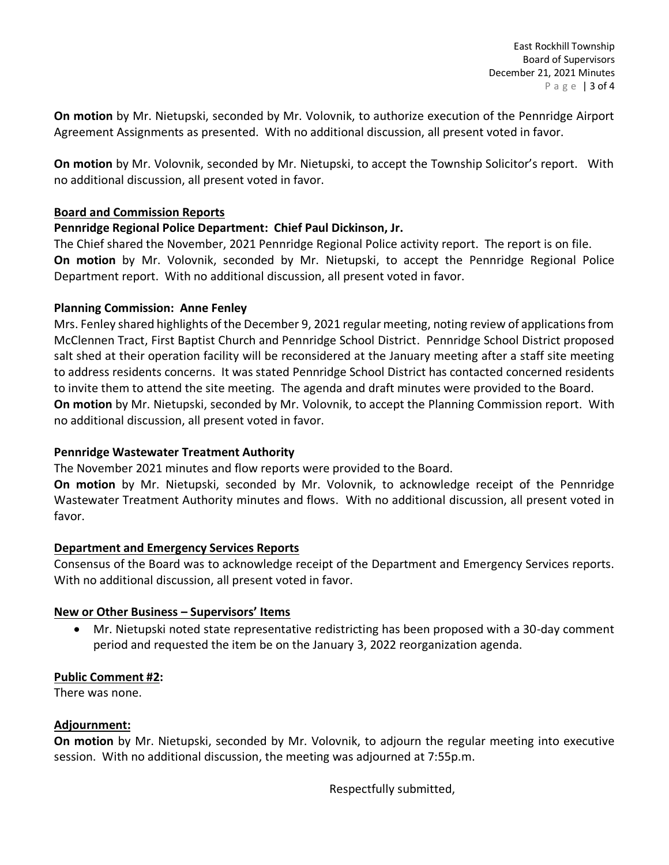**On motion** by Mr. Nietupski, seconded by Mr. Volovnik, to authorize execution of the Pennridge Airport Agreement Assignments as presented. With no additional discussion, all present voted in favor.

**On motion** by Mr. Volovnik, seconded by Mr. Nietupski, to accept the Township Solicitor's report. With no additional discussion, all present voted in favor.

## **Board and Commission Reports**

## **Pennridge Regional Police Department: Chief Paul Dickinson, Jr.**

The Chief shared the November, 2021 Pennridge Regional Police activity report. The report is on file. **On motion** by Mr. Volovnik, seconded by Mr. Nietupski, to accept the Pennridge Regional Police Department report. With no additional discussion, all present voted in favor.

## **Planning Commission: Anne Fenley**

Mrs. Fenley shared highlights of the December 9, 2021 regular meeting, noting review of applications from McClennen Tract, First Baptist Church and Pennridge School District. Pennridge School District proposed salt shed at their operation facility will be reconsidered at the January meeting after a staff site meeting to address residents concerns. It was stated Pennridge School District has contacted concerned residents to invite them to attend the site meeting. The agenda and draft minutes were provided to the Board. **On motion** by Mr. Nietupski, seconded by Mr. Volovnik, to accept the Planning Commission report. With no additional discussion, all present voted in favor.

# **Pennridge Wastewater Treatment Authority**

The November 2021 minutes and flow reports were provided to the Board.

**On motion** by Mr. Nietupski, seconded by Mr. Volovnik, to acknowledge receipt of the Pennridge Wastewater Treatment Authority minutes and flows. With no additional discussion, all present voted in favor.

#### **Department and Emergency Services Reports**

Consensus of the Board was to acknowledge receipt of the Department and Emergency Services reports. With no additional discussion, all present voted in favor.

#### **New or Other Business – Supervisors' Items**

• Mr. Nietupski noted state representative redistricting has been proposed with a 30-day comment period and requested the item be on the January 3, 2022 reorganization agenda.

# **Public Comment #2:**

There was none.

#### **Adjournment:**

**On motion** by Mr. Nietupski, seconded by Mr. Volovnik, to adjourn the regular meeting into executive session. With no additional discussion, the meeting was adjourned at 7:55p.m.

Respectfully submitted,